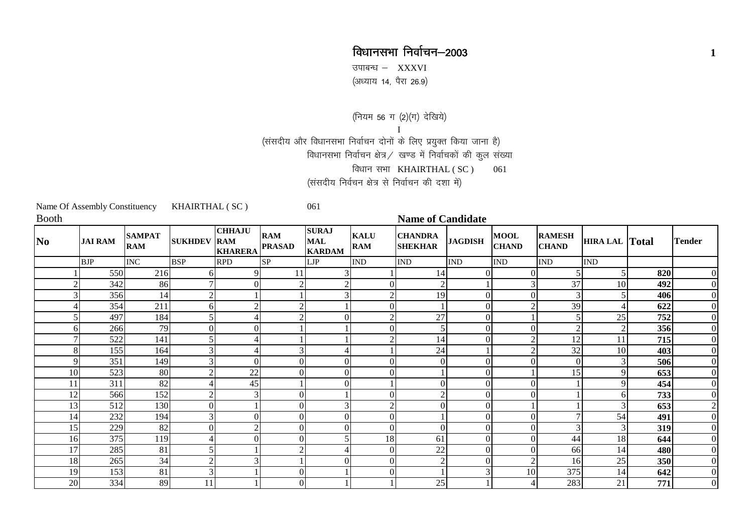## विधानसभा निर्वाचन-2003 **<sup>1</sup>**

उपाबन्ध $-$  XXXVI ,<br>(अध्याय 14, पैरा 26.9)

(नियम 56 ग (2)(ग) देखिये)

I(संसदीय और विधानसभा निर्वाचन दोनों के लिए प्रयुक्त किया जाना है) विधानसभा निर्वाचन क्षेत्र / खण्ड में निर्वाचकों की कुल संख्या

विधान सभा  $KHAIRTHAL ( SC )$  061

(संसदीय निर्वचन क्षेत्र से निर्वाचन की दशा में) $\,$ 

|                | Name Of Assembly Constituency |                             | KHAIRTHAL (SC)     |                                 |                             | 061                                         |                           |                                  |                             |                             |                               |                       |     |                  |
|----------------|-------------------------------|-----------------------------|--------------------|---------------------------------|-----------------------------|---------------------------------------------|---------------------------|----------------------------------|-----------------------------|-----------------------------|-------------------------------|-----------------------|-----|------------------|
| <b>Booth</b>   |                               |                             |                    |                                 |                             |                                             |                           | <b>Name of Candidate</b>         |                             |                             |                               |                       |     |                  |
| No.            | <b>JAI RAM</b>                | <b>SAMPAT</b><br><b>RAM</b> | <b>SUKHDEV RAM</b> | <b>CHHAJU</b><br><b>KHARERA</b> | <b>RAM</b><br><b>PRASAD</b> | <b>SURAJ</b><br><b>MAL</b><br><b>KARDAM</b> | <b>KALU</b><br><b>RAM</b> | <b>CHANDRA</b><br><b>SHEKHAR</b> | <b>JAGDISH</b>              | <b>MOOL</b><br><b>CHAND</b> | <b>RAMESH</b><br><b>CHAND</b> | <b>HIRA LAL Total</b> |     | <b>Tender</b>    |
|                | <b>BJP</b>                    | <b>INC</b>                  | <b>BSP</b>         | <b>RPD</b>                      | SP                          | LJP                                         | <b>IND</b>                | IND                              | $\mathop{\rm IND}\nolimits$ | <b>IND</b>                  | $\mathop{\rm IND}\nolimits$   | <b>IND</b>            |     |                  |
|                | 550                           | 216                         | 61                 | 9                               | 11                          | 3                                           |                           | 14                               |                             | $\Omega$                    | 5                             | $\mathfrak{S}$        | 820 | $\boldsymbol{0}$ |
| $\overline{2}$ | 342                           | 86                          |                    | $\Omega$                        |                             | $\overline{2}$                              |                           | $\overline{2}$                   |                             |                             | 37                            | 10                    | 492 | $\boldsymbol{0}$ |
|                | 356                           | 14                          |                    |                                 |                             | 3                                           |                           | 19                               |                             |                             | 3 <sub>l</sub>                | 5                     | 406 | $\boldsymbol{0}$ |
|                | 354                           | 211                         | 61                 | ◠                               |                             |                                             | $\Omega$                  |                                  |                             |                             | 39                            | 4                     | 622 | $\boldsymbol{0}$ |
|                | 497                           | 184                         |                    |                                 |                             | $\Omega$                                    |                           | $\overline{27}$                  |                             |                             |                               | 25                    | 752 | $\boldsymbol{0}$ |
| 6              | 266                           | 79                          | Οl                 | $\Omega$                        |                             |                                             |                           | 5                                |                             |                             | $\overline{2}$                | $\overline{2}$        | 356 | $\boldsymbol{0}$ |
|                | 522                           | 141                         |                    |                                 |                             |                                             |                           | 14                               |                             |                             | 12                            | 11                    | 715 | $\boldsymbol{0}$ |
| 8              | 155                           | 164                         |                    |                                 |                             |                                             |                           | 24                               |                             | $\mathcal{D}$               | 32                            | 10                    | 403 | $\boldsymbol{0}$ |
| 9              | 351                           | 149                         |                    | $\Omega$                        | $\Omega$                    | $\overline{0}$                              | $\Omega$                  | $\Omega$                         |                             | $\Omega$                    | $\Omega$                      | 3 <sup>l</sup>        | 506 | $\boldsymbol{0}$ |
| 10             | 523                           | 80                          |                    | 22                              | $\Omega$                    | $\overline{0}$                              |                           |                                  |                             |                             | 15                            | 9                     | 653 | $\boldsymbol{0}$ |
| 11             | 311                           | 82                          |                    | 45                              |                             | $\overline{0}$                              |                           | $\Omega$                         |                             | $\Omega$                    |                               | 9                     | 454 | $\boldsymbol{0}$ |
| 12             | 566                           | 152                         |                    | 3                               | $\theta$                    |                                             | $\Omega$                  | ി                                |                             | $\Omega$                    |                               | 6                     | 733 | $\boldsymbol{0}$ |
| 13             | 512                           | 130                         | $\Omega$           |                                 | $\theta$                    | 3                                           |                           | $\Omega$                         |                             |                             |                               | 3                     | 653 | $\overline{2}$   |
| 14             | 232                           | 194                         |                    | $\Omega$                        | $\Omega$                    | $\mathbf{0}$                                |                           |                                  |                             |                             |                               | 54                    | 491 | $\boldsymbol{0}$ |
| 15             | 229                           | 82                          | $\Omega$           | $\mathcal{D}$                   | $\theta$                    | $\mathbf{0}$                                | $\Omega$                  | $\theta$                         |                             |                             | 3                             | 3                     | 319 | $\boldsymbol{0}$ |
| 16             | 375                           | 119                         |                    | $\Omega$                        | $\Omega$                    |                                             | 18                        | 61                               |                             |                             | 44                            | 18                    | 644 | $\boldsymbol{0}$ |
| 17             | 285                           | 81                          |                    |                                 |                             |                                             | 0                         | 22                               |                             | $\Omega$                    | 66                            | 14                    | 480 | $\boldsymbol{0}$ |
| 18             | 265                           | 34                          |                    |                                 |                             | $\Omega$                                    | $\Omega$                  | $\overline{2}$                   |                             | $\overline{c}$              | 16                            | $25\,$                | 350 | $\boldsymbol{0}$ |
| 19             | 153                           | 81                          |                    |                                 | $\theta$                    |                                             |                           |                                  |                             | 10                          | 375                           | 14                    | 642 | $\boldsymbol{0}$ |
| 20             | 334                           | 89                          | 11                 |                                 | $\Omega$                    |                                             |                           | 25                               |                             | $\overline{4}$              | 283                           | 21                    | 771 | $\boldsymbol{0}$ |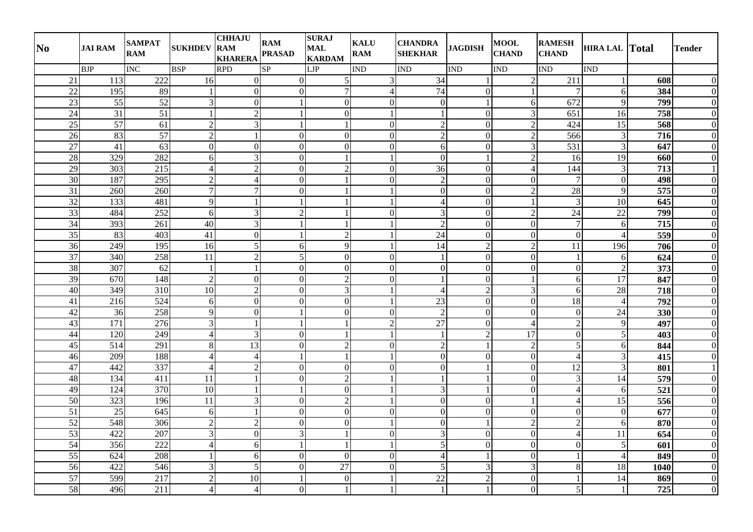| N <sub>0</sub>  | <b>JAI RAM</b>  | <b>SAMPAT</b><br><b>RAM</b> | <b>SUKHDEV</b>   | <b>CHHAJU</b><br><b>RAM</b><br><b>KHARERA</b> | <b>RAM</b><br><b>PRASAD</b> | <b>SURAJ</b><br><b>MAL</b><br><b>KARDAM</b> | <b>KALU</b><br><b>RAM</b> | <b>CHANDRA</b><br><b>SHEKHAR</b> | <b>JAGDISH</b> | <b>MOOL</b><br><b>CHAND</b> | <b>RAMESH</b><br><b>CHAND</b> | <b>HIRA LAL Total</b> |                  | <b>Tender</b>    |
|-----------------|-----------------|-----------------------------|------------------|-----------------------------------------------|-----------------------------|---------------------------------------------|---------------------------|----------------------------------|----------------|-----------------------------|-------------------------------|-----------------------|------------------|------------------|
|                 | <b>BJP</b>      | INC                         | <b>BSP</b>       | <b>RPD</b>                                    | $\overline{\text{SP}}$      | LJP                                         | <b>IND</b>                | <b>IND</b>                       | <b>IND</b>     | <b>IND</b>                  | <b>IND</b>                    | <b>IND</b>            |                  |                  |
| 21              | 113             | 222                         | 16               | $\overline{0}$                                | $\Omega$                    | 5 <sub>l</sub>                              | 3                         | 34                               |                | $\overline{2}$              | 211                           |                       | 608              | $\overline{0}$   |
| $\overline{22}$ | 195             | 89                          | $\mathbf{1}$     | $\overline{0}$                                | $\overline{0}$              | $\tau$                                      | $\overline{4}$            | 74                               | $\overline{0}$ |                             | $\overline{7}$                | 6                     | 384              | $\overline{0}$   |
| 23              | 55              | 52                          | $\mathfrak{Z}$   | $\overline{0}$                                |                             | $\overline{0}$                              | $\mathbf{0}$              | $\overline{0}$                   |                | 6                           | 672                           | 9                     | 799              | $\mathbf{0}$     |
| $\overline{24}$ | $\overline{31}$ | $\overline{51}$             | $\overline{1}$   | $\overline{2}$                                |                             | $\overline{0}$                              |                           |                                  | $\overline{0}$ | 3                           | 651                           | 16                    | 758              | $\mathbf{0}$     |
| 25              | $\overline{57}$ | 61                          | $\overline{c}$   | $\overline{3}$                                |                             | $\mathbf{1}$                                | $\mathbf{0}$              | $\overline{2}$                   | $\overline{0}$ | $\overline{2}$              | 424                           | 15                    | 568              | $\mathbf{0}$     |
| 26              | 83              | 57                          | $\sqrt{2}$       |                                               | $\overline{0}$              | $\overline{0}$                              | $\mathbf{0}$              | $\overline{2}$                   | $\overline{0}$ | $\overline{2}$              | 566                           | $\mathfrak{Z}$        | 716              | $\overline{0}$   |
| $27\,$          | 41              | 63                          | $\mathbf{0}$     | $\overline{0}$                                | $\overline{0}$              | $\overline{0}$                              | $\mathbf{0}$              | $6 \mid$                         | $\overline{0}$ | 3                           | 531                           | $\overline{3}$        | 647              | $\overline{0}$   |
| $28\,$          | 329             | 282                         | 6                | $\overline{3}$                                | $\overline{0}$              |                                             |                           | $\overline{0}$                   |                | $\overline{2}$              | 16                            | 19                    | 660              | $\overline{0}$   |
| 29              | 303             | 215                         | $\overline{4}$   | $\overline{2}$                                | $\overline{0}$              | $\overline{2}$                              | $\mathbf{0}$              | 36                               | $\theta$       | $\overline{4}$              | 144                           | 3                     | 713              | $\mathbf{1}$     |
| 30              | 187             | 295                         | $\overline{c}$   | $\vert$                                       | $\overline{0}$              | $\mathbf{1}$                                | $\mathbf{0}$              | $\overline{2}$                   | $\overline{0}$ | $\mathbf{0}$                | $\overline{7}$                | $\mathbf{0}$          | 498              | $\overline{0}$   |
| 31              | 260             | 260                         | $\boldsymbol{7}$ | $\overline{7}$                                | $\overline{0}$              | $\mathbf{1}$                                |                           | $\overline{0}$                   | $\overline{0}$ | $\overline{2}$              | 28                            | 9                     | 575              | $\overline{0}$   |
| 32              | 133             | 481                         | 9                |                                               |                             |                                             |                           | $\overline{4}$                   | $\overline{0}$ | $\overline{\phantom{0}}$    | $\overline{3}$                | 10                    | 645              | $\overline{0}$   |
| 33              | 484             | 252                         | 6                | $\overline{3}$                                | $\overline{2}$              | $\mathbf{1}$                                | $\mathbf{0}$              | 3                                | $\Omega$       | $\overline{2}$              | 24                            | $\overline{22}$       | 799              | $\mathbf{0}$     |
| 34              | 393             | 261                         | 40               | $\overline{3}$                                |                             | $\mathbf{1}$                                |                           | $\overline{2}$                   | $\theta$       | $\overline{0}$              | $\overline{7}$                | 6                     | $\overline{715}$ | $\overline{0}$   |
| 35              | 83              | 403                         | 41               | $\overline{0}$                                |                             | $\overline{2}$                              |                           | 24                               | $\theta$       | $\boldsymbol{0}$            | $\mathbf{0}$                  | $\overline{4}$        | 559              | $\overline{0}$   |
| 36              | 249             | 195                         | 16               | $\mathfrak{S}$                                | 6                           | 9                                           |                           | 14                               | $\overline{2}$ | $\overline{2}$              | 11                            | 196                   | 706              | $\overline{0}$   |
| 37              | 340             | 258                         | $\overline{11}$  | $\overline{2}$                                | $\overline{5}$              | $\overline{0}$                              | $\mathbf{0}$              | $\mathbf{1}$                     | $\overline{0}$ | $\boldsymbol{0}$            | $\mathbf{1}$                  | 6                     | 624              | $\overline{0}$   |
| 38              | 307             | 62                          | $\mathbf{1}$     | $\mathbf{1}$                                  | $\overline{0}$              | $\overline{0}$                              | $\mathbf{0}$              | $\Omega$                         | $\theta$       | $\boldsymbol{0}$            | $\boldsymbol{0}$              | $\overline{2}$        | 373              | $\mathbf{0}$     |
| $\overline{39}$ | 670             | 148                         | $\overline{2}$   | $\overline{0}$                                | $\overline{0}$              | $\overline{2}$                              | $\mathbf{0}$              | $\mathbf{1}$                     | $\overline{0}$ | $\overline{1}$              | 6                             | $\overline{17}$       | 847              | $\overline{0}$   |
| $40\,$          | 349             | 310                         | 10               | $\overline{2}$                                | $\overline{0}$              | $\overline{3}$                              |                           | $\overline{4}$                   | $\overline{2}$ | 3                           | 6                             | $28\,$                | 718              | $\overline{0}$   |
| 41              | 216             | $\overline{524}$            | 6                | $\overline{0}$                                | $\mathbf{0}$                | $\overline{0}$                              |                           | 23                               | $\overline{0}$ | $\mathbf{0}$                | $\overline{18}$               | $\overline{4}$        | 792              | $\overline{0}$   |
| 42              | $\overline{36}$ | 258                         | 9                | $\overline{0}$                                |                             | $\overline{0}$                              | $\mathbf{0}$              | $\overline{2}$                   | $\overline{0}$ | $\mathbf{0}$                | $\overline{0}$                | $\overline{24}$       | 330              | $\overline{0}$   |
| 43              | 171             | 276                         | 3                |                                               |                             | $\mathbf{1}$                                | $\overline{2}$            | 27                               | $\Omega$       | $\overline{4}$              | $\sqrt{2}$                    | $\overline{9}$        | 497              | $\overline{0}$   |
| 44              | 120             | 249                         | $\overline{4}$   | $\overline{3}$                                | $\overline{0}$              | 1                                           |                           |                                  | $\overline{2}$ | $\overline{17}$             | $\boldsymbol{0}$              | 5                     | 403              | $\overline{0}$   |
| 45              | 514             | 291                         | $8\,$            | 13                                            | $\mathbf{0}$                | $\overline{2}$                              | $\theta$                  | $\sqrt{2}$                       |                | $\overline{2}$              | $\sqrt{5}$                    | 6                     | 844              | $\overline{0}$   |
| 46              | 209             | 188                         | $\overline{4}$   | $\vert$                                       | $\mathbf{1}$                | 1                                           | $\mathbf{1}$              | $\overline{0}$                   | $\overline{0}$ | $\boldsymbol{0}$            | $\overline{4}$                | $\overline{3}$        | 415              | $\overline{0}$   |
| 47              | 442             | 337                         | $\overline{4}$   | $\overline{2}$                                | $\overline{0}$              | $\overline{0}$                              | $\mathbf{0}$              | $\overline{0}$                   |                | $\mathbf{0}$                | $\overline{12}$               | $\overline{3}$        | 801              | $\mathbf{1}$     |
| 48              | 134             | 411                         | 11               |                                               | $\Omega$                    | $\overline{2}$                              |                           |                                  |                | $\mathbf{0}$                | 3                             | 14                    | 579              | $\overline{0}$   |
| 49              | 124             | 370                         | $\overline{10}$  |                                               |                             | $\overline{0}$                              |                           | 3                                |                | $\mathbf{0}$                | $\overline{4}$                | 6                     | 521              | $\overline{0}$   |
| 50              | 323             | 196                         | 11               | $\overline{3}$                                | $\overline{0}$              | $\mathbf{2}$                                |                           | $\Omega$                         | $\theta$       | $\mathbf{1}$                | $\overline{4}$                | $\overline{15}$       | 556              | $\overline{0}$   |
| 51              | $\overline{25}$ | $\overline{645}$            | 6                | $\mathbf{1}$                                  | $\overline{0}$              | $\overline{0}$                              | $\overline{0}$            | $\overline{0}$                   | $\overline{0}$ | $\boldsymbol{0}$            | $\boldsymbol{0}$              | $\mathbf{0}$          | $\overline{677}$ | $\mathbf{0}$     |
| 52              | 548             | 306                         | $\overline{2}$   | $\overline{2}$                                | $\overline{0}$              | $\overline{0}$                              |                           | $\theta$                         |                | $\overline{2}$              | $\overline{2}$                | 6                     | 870              | $\mathbf{0}$     |
| 53              | 422             | 207                         | 3                | $\overline{0}$                                | $\overline{3}$              | $\mathbf{1}$                                | $\mathbf{0}$              | $\mathfrak{Z}$                   | $\overline{0}$ | $\boldsymbol{0}$            | $\overline{4}$                | 11                    | 654              | $\mathbf{0}$     |
| 54              | 356             | 222                         | $\overline{4}$   | 6                                             |                             | $\mathbf{1}$                                |                           | 5                                | $\overline{0}$ | $\mathbf{0}$                | $\mathbf{0}$                  | 5                     | 601              | $\overline{0}$   |
| $\overline{55}$ | 624             | 208                         | 1                | 6                                             | $\overline{0}$              | $\Omega$                                    | $\mathbf{0}$              | $\overline{4}$                   |                | $\overline{0}$              | $\mathbf{1}$                  | $\overline{4}$        | 849              | $\overline{0}$   |
| 56              | 422             | 546                         | 3                | $\mathfrak{S}$                                | $\overline{0}$              | $\overline{27}$                             | $\mathbf{0}$              | 5                                | 3              | 3                           | $\,8\,$                       | 18                    | 1040             | $\overline{0}$   |
| 57              | 599             | 217                         | $\overline{2}$   | 10                                            |                             | $\overline{0}$                              |                           | 22                               | $\mathcal{D}$  | $\mathbf{0}$                |                               | 14                    | 869              | $\overline{0}$   |
| 58              | 496             | 211                         | $\overline{4}$   | $\vert 4 \vert$                               | $\overline{0}$              | $\mathbf{1}$                                |                           |                                  |                | $\mathbf{0}$                | $\mathfrak s$                 |                       | 725              | $\boldsymbol{0}$ |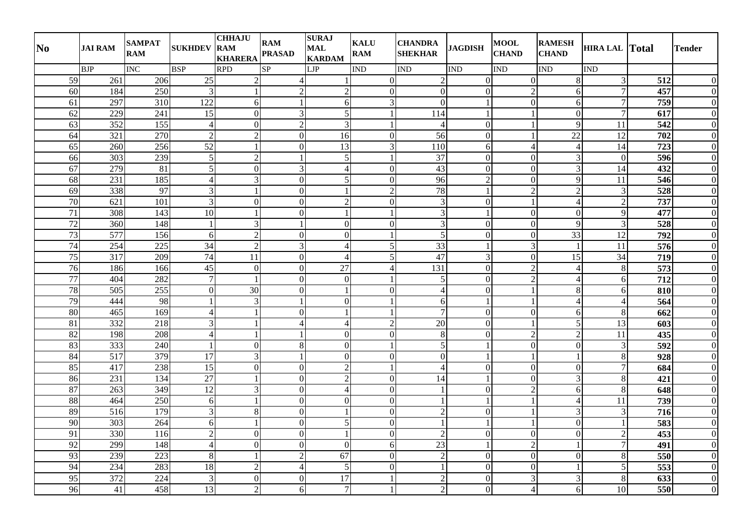| N <sub>0</sub>  | <b>JAI RAM</b>   | <b>SAMPAT</b><br><b>RAM</b> | <b>SUKHDEV</b>  | <b>CHHAJU</b><br><b>RAM</b><br><b>KHARERA</b> | <b>RAM</b><br><b>PRASAD</b> | <b>SURAJ</b><br><b>MAL</b><br><b>KARDAM</b> | <b>KALU</b><br><b>RAM</b> | <b>CHANDRA</b><br><b>SHEKHAR</b> | <b>JAGDISH</b> | <b>MOOL</b><br><b>CHAND</b> | <b>RAMESH</b><br><b>CHAND</b> | <b>HIRA LAL Total</b> |                   | <b>Tender</b>    |
|-----------------|------------------|-----------------------------|-----------------|-----------------------------------------------|-----------------------------|---------------------------------------------|---------------------------|----------------------------------|----------------|-----------------------------|-------------------------------|-----------------------|-------------------|------------------|
|                 | <b>BJP</b>       | INC                         | <b>BSP</b>      | <b>RPD</b>                                    | $\overline{\text{SP}}$      | LJP                                         | IND                       | <b>IND</b>                       | <b>IND</b>     | <b>IND</b>                  | <b>IND</b>                    | <b>IND</b>            |                   |                  |
| 59              | 261              | 206                         | $25\,$          | $\overline{2}$                                | 4                           |                                             | $\Omega$                  | $\mathfrak{2}$                   | $\Omega$       | $\mathbf{0}$                | 8                             | $\mathfrak{Z}$        | 512               | $\overline{0}$   |
| 60              | 184              | $\overline{250}$            | $\overline{3}$  |                                               | $\overline{2}$              | $\overline{2}$                              | $\mathbf{0}$              | $\overline{0}$                   | $\Omega$       | $\overline{2}$              | 6                             | $\overline{7}$        | 457               | $\overline{0}$   |
| 61              | 297              | 310                         | 122             | 6                                             |                             | 6                                           | 3                         | $\Omega$                         |                | $\boldsymbol{0}$            | $\boldsymbol{6}$              | $\overline{7}$        | 759               | $\mathbf{0}$     |
| 62              | 229              | 241                         | 15              | $\overline{0}$                                | 3                           | 5 <sup>1</sup>                              |                           | 114                              |                |                             | $\mathbf{0}$                  | $\overline{7}$        | 617               | $\mathbf{0}$     |
| 63              | 352              | 155                         | $\overline{4}$  | $\overline{0}$                                | $\overline{2}$              | $\overline{3}$                              |                           | $\overline{4}$                   | $\overline{0}$ | $\overline{1}$              | 9                             | 11                    | 542               | $\mathbf{0}$     |
| 64              | 321              | 270                         | $\sqrt{2}$      | $\overline{2}$                                | $\overline{0}$              | 16                                          | $\mathbf{0}$              | 56                               | $\overline{0}$ | $\mathbf{1}$                | 22                            | 12                    | 702               | $\overline{0}$   |
| 65              | 260              | 256                         | $\overline{52}$ |                                               | $\overline{0}$              | 13                                          | 3                         | 110                              | 6              | $\overline{4}$              | $\overline{4}$                | 14                    | 723               | $\overline{0}$   |
| 66              | 303              | 239                         | $\mathfrak{S}$  | $\overline{2}$                                |                             | $5\vert$                                    |                           | 37                               | $\Omega$       | $\mathbf{0}$                | $\mathfrak{Z}$                | $\boldsymbol{0}$      | 596               | $\mathbf{0}$     |
| 67              | 279              | 81                          | 5               | $\overline{0}$                                | 3                           | 4                                           | $\mathbf{0}$              | 43                               | $\theta$       | $\boldsymbol{0}$            | 3                             | 14                    | 432               | $\overline{0}$   |
| 68              | 231              | 185                         | $\overline{4}$  | $\overline{3}$                                | $\overline{0}$              | 5 <sup>1</sup>                              | $\mathbf{0}$              | 96                               | $\overline{2}$ | $\mathbf{0}$                | 9                             | 11                    | 546               | $\overline{0}$   |
| 69              | 338              | 97                          | $\mathfrak{Z}$  |                                               | $\overline{0}$              | $\mathbf{1}$                                | $\overline{2}$            | 78                               |                | $\overline{2}$              | $\overline{2}$                | $\mathfrak{Z}$        | 528               | $\overline{0}$   |
| 70              | 621              | 101                         | $\overline{3}$  | $\overline{0}$                                | $\overline{0}$              | $\overline{2}$                              | $\mathbf{0}$              | 3                                | $\overline{0}$ | $\mathbf{1}$                | $\overline{4}$                | $\sqrt{2}$            | 737               | $\overline{0}$   |
| 71              | 308              | 143                         | $\overline{10}$ |                                               | $\overline{0}$              | $\mathbf{1}$                                |                           | 3                                |                | $\mathbf{0}$                | $\mathbf{0}$                  | 9                     | 477               | $\overline{0}$   |
| 72              | 360              | 148                         | $\mathbf{1}$    | $\overline{3}$                                |                             | $\overline{0}$                              | $\mathbf{0}$              | 3                                | $\theta$       | $\overline{0}$              | 9                             | $\overline{3}$        | 528               | $\overline{0}$   |
| 73              | 577              | 156                         | 6               | $\overline{2}$                                | $\overline{0}$              | $\Omega$                                    |                           | 5                                | $\theta$       | $\boldsymbol{0}$            | 33                            | 12                    | 792               | $\overline{0}$   |
| 74              | 254              | 225                         | 34              | $\overline{2}$                                | $\overline{3}$              | 4                                           | 5                         | 33                               |                | 3                           | $\overline{1}$                | 11                    | 576               | $\overline{0}$   |
| 75              | $\overline{317}$ | $\overline{209}$            | 74              | $\overline{11}$                               | $\overline{0}$              | $\overline{4}$                              | 5                         | 47                               | 3              | $\boldsymbol{0}$            | 15                            | 34                    | $\overline{719}$  | $\overline{0}$   |
| 76              | 186              | 166                         | 45              | $\mathbf{0}$                                  | $\overline{0}$              | 27                                          | $\overline{4}$            | 131                              | $\overline{0}$ | $\overline{2}$              | $\overline{4}$                | $\,8\,$               | $\frac{573}{573}$ | $\mathbf{0}$     |
| $\overline{77}$ | 404              | 282                         | $\overline{7}$  | $\mathbf{1}$                                  | $\overline{0}$              | $\overline{0}$                              |                           | 5                                | $\overline{0}$ | $\overline{2}$              | $\overline{4}$                | 6                     | 712               | $\mathbf{0}$     |
| $78\,$          | 505              | 255                         | $\overline{0}$  | $\overline{30}$                               | $\overline{0}$              | $\mathbf{1}$                                | $\theta$                  | $\overline{4}$                   | $\Omega$       | $\mathbf{1}$                | 8                             | 6                     | 810               | $\overline{0}$   |
| 79              | 444              | 98                          | 1               | $\overline{3}$                                |                             | $\overline{0}$                              |                           | 6                                |                | $\mathbf{1}$                | 4                             | $\overline{4}$        | 564               | $\overline{0}$   |
| $\overline{80}$ | 465              | $\frac{169}{169}$           | $\overline{4}$  |                                               | $\overline{0}$              |                                             |                           | $\overline{7}$                   | $\overline{0}$ | $\overline{0}$              | 6                             | $\,8\,$               | $\overline{662}$  | $\overline{0}$   |
| 81              | 332              | 218                         | 3               |                                               |                             | $\overline{\mathcal{L}}$                    | $\overline{2}$            | $20\,$                           | $\Omega$       |                             | $\sqrt{5}$                    | 13                    | 603               | $\mathbf{0}$     |
| $\overline{82}$ | 198              | 208                         | $\overline{4}$  |                                               |                             | $\overline{0}$                              | $\mathbf{0}$              | 8                                | $\overline{0}$ | $\overline{2}$              | $\sqrt{2}$                    | 11                    | 435               | $\overline{0}$   |
| 83              | 333              | 240                         | $\mathbf{1}$    | $\overline{0}$                                | 8 <sup>1</sup>              | $\Omega$                                    |                           | 5                                |                | $\mathbf{0}$                | $\mathbf{0}$                  | $\mathfrak{Z}$        | 592               | $\overline{0}$   |
| 84              | $\overline{517}$ | 379                         | $\overline{17}$ | $\overline{3}$                                | $\mathbf{1}$                | $\overline{0}$                              | $\overline{0}$            | $\overline{0}$                   | $\overline{1}$ | $\mathbf{1}$                | $\mathbf{1}$                  | $\,8\,$               | 928               | $\overline{0}$   |
| 85              | 417              | 238                         | $\overline{15}$ | $\overline{0}$                                | $\overline{0}$              | $\overline{2}$                              |                           | $\overline{4}$                   | $\overline{0}$ | $\overline{0}$              | $\mathbf{0}$                  | $\overline{7}$        | 684               | $\overline{0}$   |
| 86              | 231              | 134                         | 27              |                                               | $\overline{0}$              | $\overline{2}$                              | $\mathbf{0}$              | 14                               |                | $\mathbf{0}$                | 3                             | $\,8\,$               | 421               | $\overline{0}$   |
| 87              | 263              | 349                         | 12              | $\overline{3}$                                | $\overline{0}$              | $\overline{4}$                              | $\mathbf{0}$              |                                  | $\theta$       | $\overline{2}$              | 6                             | $\,8\,$               | 648               | $\overline{0}$   |
| 88              | 464              | 250                         | 6               |                                               | $\overline{0}$              | $\Omega$                                    | $\theta$                  |                                  |                |                             | $\overline{4}$                | 11                    | 739               | $\overline{0}$   |
| 89              | $\overline{516}$ | 179                         | $\mathfrak{Z}$  | 8 <sup>1</sup>                                | $\overline{0}$              | $\mathbf{1}$                                | $\overline{0}$            | $\overline{2}$                   | $\overline{0}$ | -1                          | $\mathfrak{Z}$                | $\mathfrak{Z}$        | 716               | $\mathbf{0}$     |
| $\overline{90}$ | 303              | 264                         | 6               |                                               | $\overline{0}$              | $\mathfrak{S}$                              | $\mathbf{0}$              |                                  |                | $\mathbf{1}$                | $\mathbf{0}$                  |                       | 583               | $\overline{0}$   |
| 91              | 330              | 116                         | $\overline{2}$  | $\overline{0}$                                | $\overline{0}$              | $\mathbf{1}$                                | $\mathbf{0}$              | $\overline{2}$                   | $\overline{0}$ | $\boldsymbol{0}$            | $\boldsymbol{0}$              | $\overline{2}$        | 453               | $\mathbf{0}$     |
| 92              | 299              | 148                         | $\overline{4}$  | $\overline{0}$                                | $\overline{0}$              | $\overline{0}$                              | 6                         | 23                               |                | $\overline{2}$              | $\mathbf{1}$                  | $\overline{7}$        | 491               | $\overline{0}$   |
| 93              | 239              | 223                         | 8               | $\mathbf{1}$                                  | $\overline{2}$              | $\overline{67}$                             | $\mathbf{0}$              | $\overline{2}$                   | $\overline{0}$ | $\overline{0}$              | $\boldsymbol{0}$              | $\,8\,$               | 550               | $\overline{0}$   |
| 94              | 234              | 283                         | $\overline{18}$ | $\overline{2}$                                | $\overline{4}$              | 5 <sub>l</sub>                              | $\mathbf{0}$              |                                  | $\overline{0}$ | $\overline{0}$              | $\mathbf{1}$                  | 5                     | 553               | $\overline{0}$   |
| 95              | 372              | 224                         | 3               | $\overline{0}$                                | $\overline{0}$              | $\overline{17}$                             |                           | $\mathcal{D}$                    | $\Omega$       | 3                           | 3                             | $\,8\,$               | 633               | $\overline{0}$   |
| 96              | 41               | 458                         | 13              | $\overline{2}$                                | 6                           | $\overline{7}$                              |                           | $\overline{2}$                   | $\overline{0}$ | $\overline{4}$              | $\sqrt{6}$                    | 10                    | 550               | $\boldsymbol{0}$ |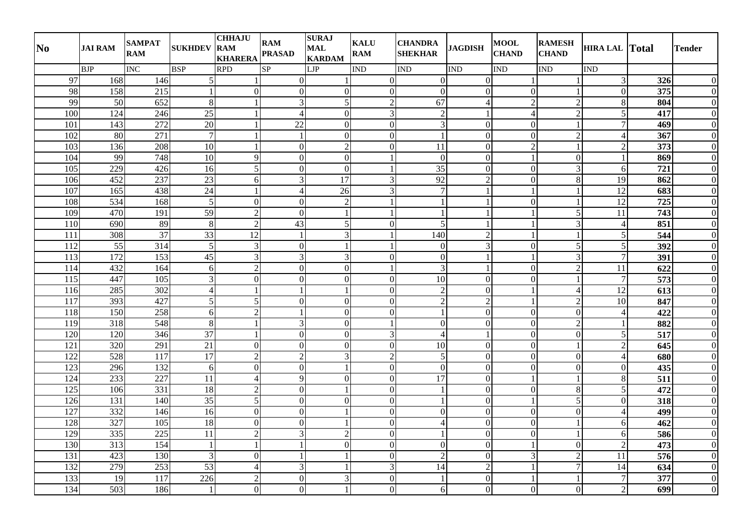| N <sub>0</sub>   | <b>JAI RAM</b>   | <b>SAMPAT</b><br><b>RAM</b> | <b>SUKHDEV</b>  | <b>CHHAJU</b><br><b>RAM</b><br><b>KHARERA</b> | <b>RAM</b><br><b>PRASAD</b> | <b>SURAJ</b><br><b>MAL</b><br><b>KARDAM</b> | <b>KALU</b><br><b>RAM</b> | <b>CHANDRA</b><br><b>SHEKHAR</b> | <b>JAGDISH</b> | <b>MOOL</b><br><b>CHAND</b> | <b>RAMESH</b><br><b>CHAND</b> | <b>HIRA LAL Total</b> |                  | <b>Tender</b>    |
|------------------|------------------|-----------------------------|-----------------|-----------------------------------------------|-----------------------------|---------------------------------------------|---------------------------|----------------------------------|----------------|-----------------------------|-------------------------------|-----------------------|------------------|------------------|
|                  | <b>BJP</b>       | <b>INC</b>                  | <b>BSP</b>      | <b>RPD</b>                                    | SP                          | LJP                                         | <b>IND</b>                | <b>IND</b>                       | <b>IND</b>     | <b>IND</b>                  | <b>IND</b>                    | <b>IND</b>            |                  |                  |
| 97               | 168              | 146                         | 5               | 1                                             | $\Omega$                    |                                             | $\Omega$                  | $\Omega$                         | $\Omega$       |                             |                               | $\mathfrak{Z}$        | 326              | $\overline{0}$   |
| 98               | 158              | 215                         | 1               | $\overline{0}$                                | $\overline{0}$              | $\overline{0}$                              | $\boldsymbol{0}$          | $\Omega$                         | $\Omega$       | $\overline{0}$              | $\mathbf{1}$                  | $\boldsymbol{0}$      | 375              | $\overline{0}$   |
| 99               | 50               | 652                         | $8\phantom{1}$  | $\mathbf{1}$                                  | $\overline{3}$              | 5                                           | $\overline{2}$            | 67                               | $\overline{4}$ | $\overline{2}$              | $\sqrt{2}$                    | $\,8\,$               | 804              | $\overline{0}$   |
| 100              | 124              | 246                         | $\overline{25}$ |                                               | $\overline{4}$              | $\overline{0}$                              | $\overline{3}$            | $\overline{2}$                   |                | $\overline{4}$              | $\overline{2}$                | $\overline{5}$        | 417              | $\overline{0}$   |
| 101              | 143              | 272                         | $\overline{20}$ | $\mathbf{1}$                                  | 22                          | $\overline{0}$                              | $\overline{0}$            | $\overline{3}$                   | $\overline{0}$ | $\overline{0}$              | $\mathbf{1}$                  | $\overline{7}$        | 469              | $\boldsymbol{0}$ |
| 102              | 80               | 271                         | $\overline{7}$  | $\mathbf{1}$                                  | $\mathbf{1}$                | $\mathbf{0}$                                | $\boldsymbol{0}$          | $\overline{1}$                   | $\theta$       | $\boldsymbol{0}$            | $\overline{2}$                | $\overline{4}$        | 367              | $\overline{0}$   |
| 103              | 136              | 208                         | 10              | 1                                             | $\overline{0}$              | $\overline{2}$                              | $\mathbf{0}$              | 11                               | $\Omega$       | $\overline{2}$              | $\mathbf{1}$                  | $\overline{2}$        | 373              | $\overline{0}$   |
| 104              | 99               | 748                         | $\overline{10}$ | 9                                             | $\Omega$                    | $\mathbf{0}$                                |                           | $\Omega$                         | $\Omega$       |                             | $\overline{0}$                |                       | 869              | $\overline{0}$   |
| 105              | 229              | 426                         | 16              | 5                                             | $\overline{0}$              | $\overline{0}$                              |                           | 35                               | $\theta$       | $\overline{0}$              | 3                             | 6                     | 721              | $\overline{0}$   |
| 106              | 452              | 237                         | $\overline{23}$ | $\boldsymbol{6}$                              | $\overline{3}$              | 17                                          | 3                         | 92                               | $\overline{2}$ | $\overline{0}$              | 8                             | 19                    | 862              | $\overline{0}$   |
| 107              | 165              | 438                         | 24              | $\mathbf{1}$                                  | $\overline{4}$              | 26                                          | 3                         | $\overline{7}$                   |                |                             | $\mathbf{1}$                  | 12                    | 683              | $\overline{0}$   |
| 108              | 534              | 168                         | 5               | $\boldsymbol{0}$                              | $\overline{0}$              | $\mathcal{D}$                               |                           | $\mathbf{1}$                     |                | $\overline{0}$              | $\mathbf{1}$                  | 12                    | 725              | $\overline{0}$   |
| 109              | 470              | 191                         | 59              | $\sqrt{2}$                                    | $\overline{0}$              |                                             |                           | $\mathbf{1}$                     |                |                             | 5                             | $\overline{11}$       | 743              | $\overline{0}$   |
| 110              | 690              | 89                          | $\,8\,$         | $\overline{2}$                                | $\overline{43}$             |                                             | $\Omega$                  | 5                                |                |                             | 3                             | $\overline{4}$        | 851              | $\overline{0}$   |
| 111              | 308              | 37                          | $\overline{33}$ | 12                                            | $\mathbf{1}$                | $\mathbf{3}$                                |                           | 140                              | $\overline{2}$ |                             | $\mathbf{1}$                  | $\sqrt{5}$            | 544              | $\boldsymbol{0}$ |
| 112              | 55               | 314                         | 5               | $\mathfrak{Z}$                                | $\overline{0}$              |                                             |                           | $\Omega$                         | 3              | $\boldsymbol{0}$            | 5                             | $\sqrt{5}$            | 392              | $\overline{0}$   |
| 113              | 172              | 153                         | 45              | $\overline{\mathbf{3}}$                       | $\overline{3}$              | 3                                           | $\theta$                  | $\overline{0}$                   |                | $\mathbf{1}$                | $\overline{3}$                | $\overline{7}$        | $\overline{391}$ | $\overline{0}$   |
| 114              | 432              | 164                         | 6               | $\overline{2}$                                | $\overline{0}$              | $\overline{0}$                              |                           | 3                                |                | $\boldsymbol{0}$            | $\overline{2}$                | 11                    | 622              | $\overline{0}$   |
| 115              | 447              | 105                         | $\overline{3}$  | $\boldsymbol{0}$                              | $\overline{0}$              | $\overline{0}$                              | $\mathbf{0}$              | 10                               | $\overline{0}$ | $\overline{0}$              | $\mathbf{1}$                  | $\overline{7}$        | 573              | $\overline{0}$   |
| 116              | 285              | 302                         | $\overline{4}$  | 1                                             | $\mathbf{1}$                |                                             | $\Omega$                  | $\overline{2}$                   | $\theta$       |                             | $\overline{4}$                | $\overline{12}$       | 613              | $\overline{0}$   |
| $\overline{117}$ | 393              | 427                         | 5               | 5                                             | $\overline{0}$              | $\mathbf{0}$                                | $\mathbf{0}$              | $\overline{2}$                   | $\overline{2}$ |                             | $\sqrt{2}$                    | 10                    | 847              | $\overline{0}$   |
| 118              | 150              | 258                         | 6               | $\overline{c}$                                |                             | $\overline{0}$                              | $\mathbf{0}$              |                                  | $\overline{0}$ | $\overline{0}$              | $\overline{0}$                | $\overline{4}$        | 422              | $\overline{0}$   |
| 119              | 318              | 548                         | $\,8\,$         |                                               | $\overline{3}$              | $\Omega$                                    |                           | $\Omega$                         | $\Omega$       | $\mathbf{0}$                | $\overline{2}$                | $\mathbf{1}$          | 882              | $\overline{0}$   |
| 120              | 120              | 346                         | 37              | $\mathbf{1}$                                  | $\overline{0}$              | $\mathbf{0}$                                | 3                         | $\overline{4}$                   |                | $\boldsymbol{0}$            | $\boldsymbol{0}$              | $\overline{5}$        | $\overline{517}$ | $\overline{0}$   |
| 121              | 320              | 291                         | 21              | $\Omega$                                      | $\overline{0}$              | $\Omega$                                    | $\Omega$                  | 10                               | $\theta$       | $\boldsymbol{0}$            | $\mathbf{1}$                  | $\sqrt{2}$            | 645              | $\overline{0}$   |
| $\overline{122}$ | $\overline{528}$ | $\overline{117}$            | 17              | $\overline{2}$                                | $\overline{2}$              | 3                                           | $\overline{2}$            | 5                                | $\overline{0}$ | $\overline{0}$              | $\boldsymbol{0}$              | $\overline{4}$        | 680              | $\overline{0}$   |
| $\overline{123}$ | 296              | 132                         | 6               | $\overline{0}$                                | $\overline{0}$              |                                             | $\overline{0}$            | $\overline{0}$                   | $\overline{0}$ | $\overline{0}$              | $\overline{0}$                | $\overline{0}$        | 435              | $\overline{0}$   |
| 124              | 233              | 227                         | 11              | $\overline{4}$                                | $\overline{9}$              | $\Omega$                                    | $\boldsymbol{0}$          | 17                               | $\Omega$       |                             | $\mathbf{1}$                  | $\,8\,$               | 511              | $\overline{0}$   |
| 125              | 106              | 331                         | $\overline{18}$ | $\sqrt{2}$                                    | $\overline{0}$              |                                             | $\mathbf{0}$              |                                  | $\theta$       | $\overline{0}$              | $8\,$                         | $\overline{5}$        | 472              | $\overline{0}$   |
| 126              | 131              | 140                         | $\overline{35}$ | $\overline{5}$                                | $\overline{0}$              | $\Omega$                                    | $\Omega$                  |                                  | $\theta$       |                             | $\overline{5}$                | $\boldsymbol{0}$      | 318              | $\overline{0}$   |
| 127              | 332              | 146                         | 16              | $\boldsymbol{0}$                              | $\overline{0}$              |                                             | $\boldsymbol{0}$          | $\Omega$                         | $\mathbf{0}$   | $\boldsymbol{0}$            | $\boldsymbol{0}$              | $\overline{4}$        | 499              | $\overline{0}$   |
| 128              | 327              | 105                         | $\overline{18}$ | $\mathbf{0}$                                  | $\overline{0}$              |                                             | $\mathbf{0}$              | $\Delta$                         | $\theta$       | $\overline{0}$              | $\mathbf{1}$                  | 6                     | 462              | $\overline{0}$   |
| 129              | 335              | 225                         | 11              | $\sqrt{2}$                                    | $\overline{3}$              | $\mathcal{D}$                               | $\boldsymbol{0}$          | $\mathbf{1}$                     | $\Omega$       | $\boldsymbol{0}$            | $\mathbf{1}$                  | $\sqrt{6}$            | 586              | $\overline{0}$   |
| 130              | 313              | 154                         | $\mathbf{1}$    | $\mathbf{1}$                                  |                             | $\overline{0}$                              | $\mathbf{0}$              | $\overline{0}$                   | $\overline{0}$ |                             | $\overline{0}$                | $\sqrt{2}$            | 473              | $\overline{0}$   |
| 131              | 423              | 130                         | 3               | $\overline{0}$                                | $\mathbf{1}$                |                                             | $\mathbf{0}$              | $\overline{2}$                   | $\overline{0}$ | 3                           | $\overline{2}$                | 11                    | 576              | $\overline{0}$   |
| 132              | 279              | 253                         | $\overline{53}$ | $\overline{4}$                                | $\overline{3}$              |                                             | 3                         | 14                               | $\overline{2}$ |                             | $\boldsymbol{7}$              | 14                    | 634              | $\overline{0}$   |
| 133              | 19               | 117                         | 226             | $\overline{2}$                                | $\overline{0}$              |                                             | $\Omega$                  |                                  | $\Omega$       |                             |                               | $\overline{7}$        | 377              | $\overline{0}$   |
| 134              | 503              | 186                         | $\mathbf{1}$    | $\boldsymbol{0}$                              | $\overline{0}$              |                                             | $\overline{0}$            | $6 \mid$                         | $\mathbf{0}$   | $\boldsymbol{0}$            | $\boldsymbol{0}$              | $\sqrt{2}$            | 699              | $\overline{0}$   |